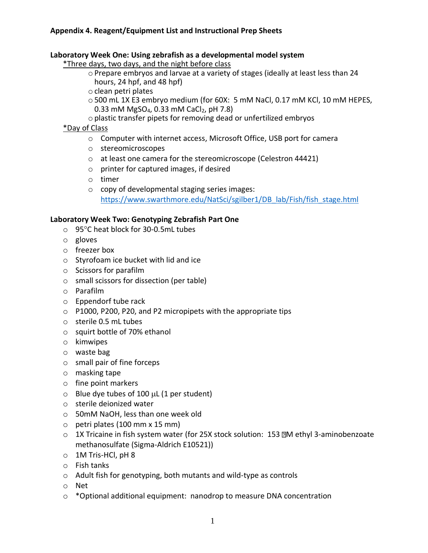#### **Laboratory Week One: Using zebrafish as a developmental model system**

\*Three days, two days, and the night before class

- oPrepare embryos and larvae at a variety of stages (ideally at least less than 24 hours, 24 hpf, and 48 hpf)
- oclean petri plates
- o500 mL 1X E3 embryo medium (for 60X: 5 mM NaCl, 0.17 mM KCl, 10 mM HEPES, 0.33 mM MgSO<sub>4</sub>, 0.33 mM CaCl<sub>2</sub>, pH 7.8)
- oplastic transfer pipets for removing dead or unfertilized embryos

### \*Day of Class

- o Computer with internet access, Microsoft Office, USB port for camera
- o stereomicroscopes
- o at least one camera for the stereomicroscope (Celestron 44421)
- o printer for captured images, if desired
- o timer
- o copy of developmental staging series images: [https://www.swarthmore.edu/NatSci/sgilber1/DB\\_lab/Fish/fish\\_stage.html](https://www.swarthmore.edu/NatSci/sgilber1/DB_lab/Fish/fish_stage.html)

### **Laboratory Week Two: Genotyping Zebrafish Part One**

- o 95°C heat block for 30-0.5mL tubes
- o gloves
- o freezer box
- o Styrofoam ice bucket with lid and ice
- o Scissors for parafilm
- o small scissors for dissection (per table)
- o Parafilm
- o Eppendorf tube rack
- o P1000, P200, P20, and P2 micropipets with the appropriate tips
- o sterile 0.5 mL tubes
- o squirt bottle of 70% ethanol
- o kimwipes
- o waste bag
- o small pair of fine forceps
- o masking tape
- o fine point markers
- $\circ$  Blue dye tubes of 100  $\mu$ L (1 per student)
- o sterile deionized water
- o 50mM NaOH, less than one week old
- $\circ$  petri plates (100 mm x 15 mm)
- o 1X Tricaine in fish system water (for 25X stock solution: 153 M ethyl 3-aminobenzoate methanosulfate (Sigma-Aldrich E10521))
- o 1M Tris-HCl, pH 8
- o Fish tanks
- o Adult fish for genotyping, both mutants and wild-type as controls
- o Net
- $\circ$  \*Optional additional equipment: nanodrop to measure DNA concentration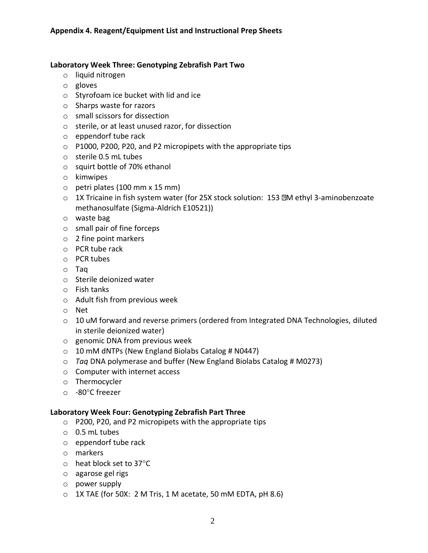## **Laboratory Week Three: Genotyping Zebrafish Part Two**

- o liquid nitrogen
- o gloves
- o Styrofoam ice bucket with lid and ice
- o Sharps waste for razors
- o small scissors for dissection
- o sterile, or at least unused razor, for dissection
- o eppendorf tube rack
- o P1000, P200, P20, and P2 micropipets with the appropriate tips
- o sterile 0.5 mL tubes
- o squirt bottle of 70% ethanol
- o kimwipes
- o petri plates (100 mm x 15 mm)
- o 1X Tricaine in fish system water (for 25X stock solution: 153 M ethyl 3-aminobenzoate methanosulfate (Sigma-Aldrich E10521))
- o waste bag
- o small pair of fine forceps
- o 2 fine point markers
- o PCR tube rack
- o PCR tubes
- o Taq
- o Sterile deionized water
- o Fish tanks
- o Adult fish from previous week
- o Net
- $\circ$  10 uM forward and reverse primers (ordered from Integrated DNA Technologies, diluted in sterile deionized water)
- o genomic DNA from previous week
- $\circ$  10 mM dNTPs (New England Biolabs Catalog # N0447)
- o *Taq* DNA polymerase and buffer (New England Biolabs Catalog # M0273)
- o Computer with internet access
- o Thermocycler
- $\circ$  -80 $^{\circ}$ C freezer

### **Laboratory Week Four: Genotyping Zebrafish Part Three**

- o P200, P20, and P2 micropipets with the appropriate tips
- o 0.5 mL tubes
- o eppendorf tube rack
- o markers
- $\circ$  heat block set to 37 $\circ$ C
- o agarose gel rigs
- o power supply
- $\circ$  1X TAE (for 50X: 2 M Tris, 1 M acetate, 50 mM EDTA, pH 8.6)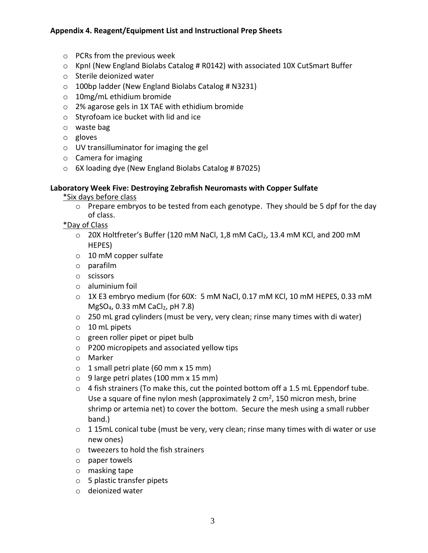- o PCRs from the previous week
- o KpnI (New England Biolabs Catalog # R0142) with associated 10X CutSmart Buffer
- o Sterile deionized water
- o 100bp ladder (New England Biolabs Catalog # N3231)
- o 10mg/mL ethidium bromide
- o 2% agarose gels in 1X TAE with ethidium bromide
- o Styrofoam ice bucket with lid and ice
- o waste bag
- o gloves
- o UV transilluminator for imaging the gel
- o Camera for imaging
- o 6X loading dye (New England Biolabs Catalog # B7025)

#### **Laboratory Week Five: Destroying Zebrafish Neuromasts with Copper Sulfate**

\*Six days before class

 $\circ$  Prepare embryos to be tested from each genotype. They should be 5 dpf for the day of class.

\*Day of Class

- o 20X Holtfreter's Buffer (120 mM NaCl, 1,8 mM CaCl<sub>2</sub>, 13.4 mM KCl, and 200 mM HEPES)
- o 10 mM copper sulfate
- o parafilm
- o scissors
- o aluminium foil
- $\circ$  1X E3 embryo medium (for 60X: 5 mM NaCl, 0.17 mM KCl, 10 mM HEPES, 0.33 mM  $MgSO<sub>4</sub>$ , 0.33 mM CaCl<sub>2</sub>, pH 7.8)
- $\circ$  250 mL grad cylinders (must be very, very clean; rinse many times with di water)
- o 10 mL pipets
- o green roller pipet or pipet bulb
- o P200 micropipets and associated yellow tips
- o Marker
- $\circ$  1 small petri plate (60 mm x 15 mm)
- $\circ$  9 large petri plates (100 mm x 15 mm)
- $\circ$  4 fish strainers (To make this, cut the pointed bottom off a 1.5 mL Eppendorf tube. Use a square of fine nylon mesh (approximately 2  $\text{cm}^2$ , 150 micron mesh, brine shrimp or artemia net) to cover the bottom. Secure the mesh using a small rubber band.)
- $\circ$  1 15mL conical tube (must be very, very clean; rinse many times with di water or use new ones)
- o tweezers to hold the fish strainers
- o paper towels
- o masking tape
- o 5 plastic transfer pipets
- o deionized water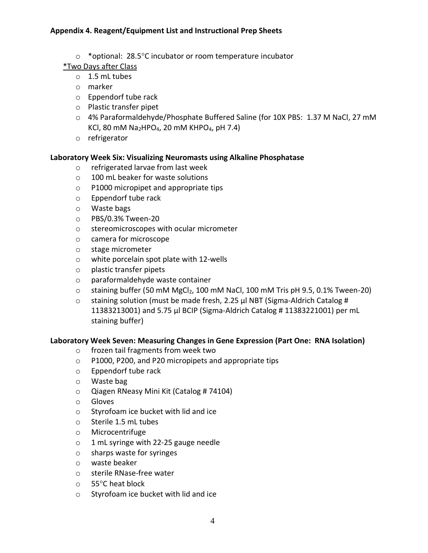- o \*optional: 28.5°C incubator or room temperature incubator
- \*Two Days after Class
	- o 1.5 mL tubes
	- o marker
	- o Eppendorf tube rack
	- o Plastic transfer pipet
	- $\circ$  4% Paraformaldehyde/Phosphate Buffered Saline (for 10X PBS: 1.37 M NaCl, 27 mM KCl, 80 mM Na<sub>2</sub>HPO<sub>4</sub>, 20 mM KHPO<sub>4</sub>, pH 7.4)
	- o refrigerator

# **Laboratory Week Six: Visualizing Neuromasts using Alkaline Phosphatase**

- o refrigerated larvae from last week
- o 100 mL beaker for waste solutions
- o P1000 micropipet and appropriate tips
- o Eppendorf tube rack
- o Waste bags
- o PBS/0.3% Tween-20
- o stereomicroscopes with ocular micrometer
- o camera for microscope
- o stage micrometer
- o white porcelain spot plate with 12-wells
- o plastic transfer pipets
- o paraformaldehyde waste container
- $\circ$  staining buffer (50 mM MgCl<sub>2</sub>, 100 mM NaCl, 100 mM Tris pH 9.5, 0.1% Tween-20)
- o staining solution (must be made fresh, 2.25 µl NBT (Sigma-Aldrich Catalog # 11383213001) and 5.75 µl BCIP (Sigma-Aldrich Catalog # 11383221001) per mL staining buffer)

### **Laboratory Week Seven: Measuring Changes in Gene Expression (Part One: RNA Isolation)**

- o frozen tail fragments from week two
- o P1000, P200, and P20 micropipets and appropriate tips
- o Eppendorf tube rack
- o Waste bag
- o Qiagen RNeasy Mini Kit (Catalog # 74104)
- o Gloves
- o Styrofoam ice bucket with lid and ice
- o Sterile 1.5 mL tubes
- o Microcentrifuge
- o 1 mL syringe with 22-25 gauge needle
- o sharps waste for syringes
- o waste beaker
- o sterile RNase-free water
- o 55C heat block
- o Styrofoam ice bucket with lid and ice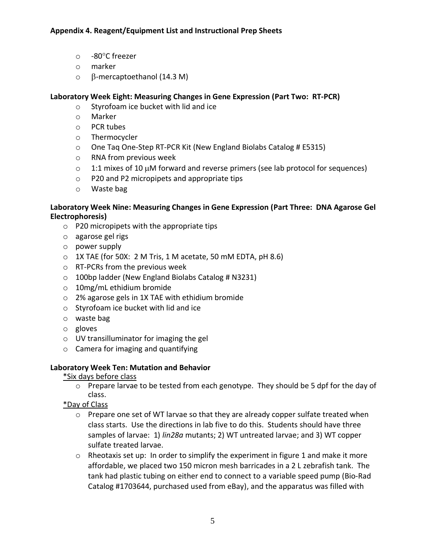- $\circ$  -80 $^{\circ}$ C freezer
- o marker
- $\circ$   $\beta$ -mercaptoethanol (14.3 M)

# **Laboratory Week Eight: Measuring Changes in Gene Expression (Part Two: RT-PCR)**

- o Styrofoam ice bucket with lid and ice
- o Marker
- o PCR tubes
- o Thermocycler
- o One Taq One-Step RT-PCR Kit (New England Biolabs Catalog # E5315)
- o RNA from previous week
- $\circ$  1:1 mixes of 10 µM forward and reverse primers (see lab protocol for sequences)
- o P20 and P2 micropipets and appropriate tips
- o Waste bag

### **Laboratory Week Nine: Measuring Changes in Gene Expression (Part Three: DNA Agarose Gel Electrophoresis)**

- o P20 micropipets with the appropriate tips
- o agarose gel rigs
- o power supply
- $\circ$  1X TAE (for 50X: 2 M Tris, 1 M acetate, 50 mM EDTA, pH 8.6)
- o RT-PCRs from the previous week
- $\circ$  100bp ladder (New England Biolabs Catalog # N3231)
- o 10mg/mL ethidium bromide
- o 2% agarose gels in 1X TAE with ethidium bromide
- o Styrofoam ice bucket with lid and ice
- o waste bag
- o gloves
- o UV transilluminator for imaging the gel
- o Camera for imaging and quantifying

### **Laboratory Week Ten: Mutation and Behavior**

- \*Six days before class
	- $\circ$  Prepare larvae to be tested from each genotype. They should be 5 dpf for the day of class.
- \*Day of Class
	- o Prepare one set of WT larvae so that they are already copper sulfate treated when class starts. Use the directions in lab five to do this. Students should have three samples of larvae: 1) *lin28a* mutants; 2) WT untreated larvae; and 3) WT copper sulfate treated larvae.
	- o Rheotaxis set up: In order to simplify the experiment in figure 1 and make it more affordable, we placed two 150 micron mesh barricades in a 2 L zebrafish tank. The tank had plastic tubing on either end to connect to a variable speed pump (Bio-Rad Catalog #1703644, purchased used from eBay), and the apparatus was filled with